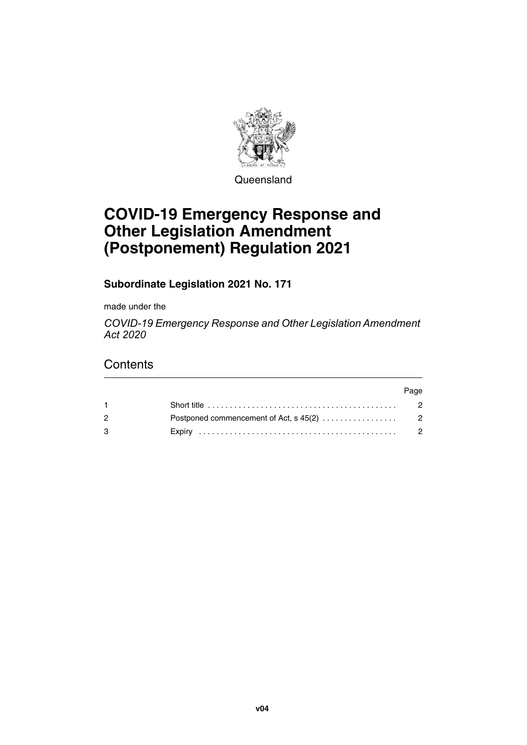

**Queensland** 

# **COVID-19 Emergency Response and Other Legislation Amendment (Postponement) Regulation 2021**

**Subordinate Legislation 2021 No. 171**

made under the

*COVID-19 Emergency Response and Other Legislation Amendment Act 2020*

# **Contents**

|                                                                                                   | Page           |
|---------------------------------------------------------------------------------------------------|----------------|
| Short title $\ldots \ldots \ldots \ldots \ldots \ldots \ldots \ldots \ldots \ldots \ldots \ldots$ |                |
|                                                                                                   |                |
|                                                                                                   | $\overline{2}$ |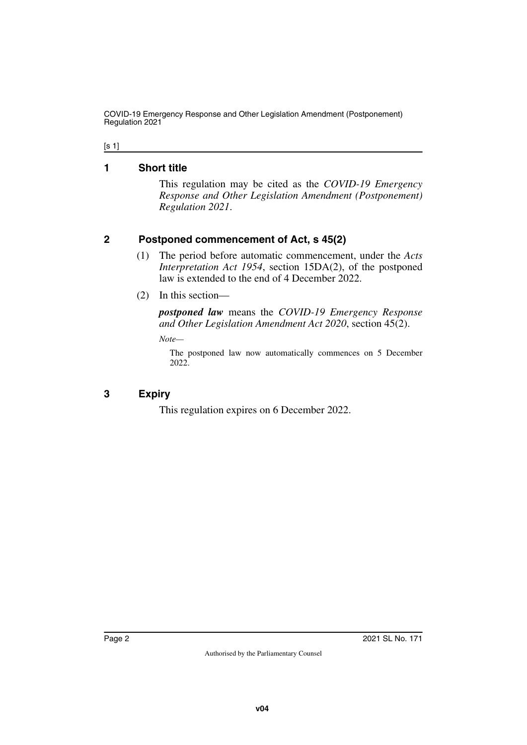COVID-19 Emergency Response and Other Legislation Amendment (Postponement) Regulation 2021

#### [s 1]

### <span id="page-1-0"></span>**1 Short title**

<span id="page-1-1"></span>This regulation may be cited as the *COVID-19 Emergency Response and Other Legislation Amendment (Postponement) Regulation 2021*.

## <span id="page-1-2"></span>**2 Postponed commencement of Act, s 45(2)**

- <span id="page-1-3"></span>(1) The period before automatic commencement, under the *Acts Interpretation Act 1954*, section 15DA(2), of the postponed law is extended to the end of 4 December 2022.
- (2) In this section—

*postponed law* means the *COVID-19 Emergency Response and Other Legislation Amendment Act 2020*, section 45(2).

*Note—*

The postponed law now automatically commences on 5 December 2022.

## <span id="page-1-4"></span>**3 Expiry**

<span id="page-1-5"></span>This regulation expires on 6 December 2022.